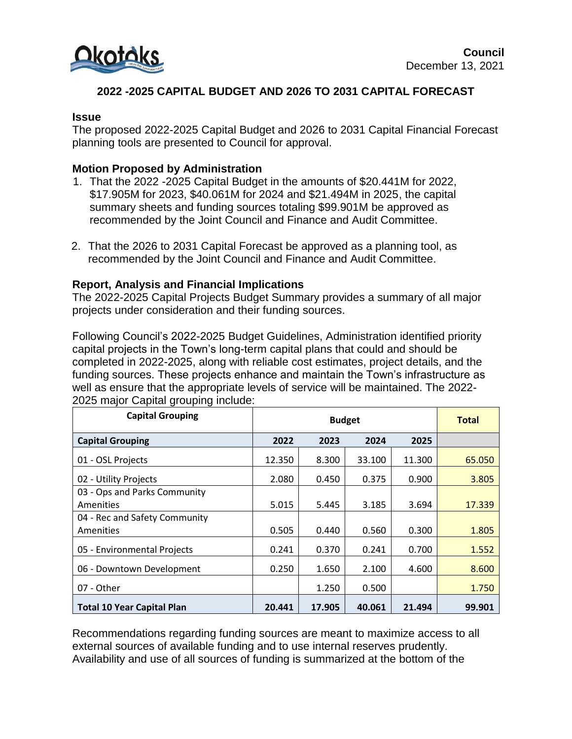

# **2022 -2025 CAPITAL BUDGET AND 2026 TO 2031 CAPITAL FORECAST**

#### **Issue**

The proposed 2022-2025 Capital Budget and 2026 to 2031 Capital Financial Forecast planning tools are presented to Council for approval.

### **Motion Proposed by Administration**

- 1. That the 2022 -2025 Capital Budget in the amounts of \$20.441M for 2022, \$17.905M for 2023, \$40.061M for 2024 and \$21.494M in 2025, the capital summary sheets and funding sources totaling \$99.901M be approved as recommended by the Joint Council and Finance and Audit Committee.
- 2. That the 2026 to 2031 Capital Forecast be approved as a planning tool, as recommended by the Joint Council and Finance and Audit Committee.

### **Report, Analysis and Financial Implications**

The 2022-2025 Capital Projects Budget Summary provides a summary of all major projects under consideration and their funding sources.

Following Council's 2022-2025 Budget Guidelines, Administration identified priority capital projects in the Town's long-term capital plans that could and should be completed in 2022-2025, along with reliable cost estimates, project details, and the funding sources. These projects enhance and maintain the Town's infrastructure as well as ensure that the appropriate levels of service will be maintained. The 2022- 2025 major Capital grouping include:

| <b>Capital Grouping</b>           | <b>Budget</b> |        |        |        | <b>Total</b> |
|-----------------------------------|---------------|--------|--------|--------|--------------|
| <b>Capital Grouping</b>           | 2022          | 2023   | 2024   | 2025   |              |
| 01 - OSL Projects                 | 12.350        | 8.300  | 33.100 | 11.300 | 65.050       |
| 02 - Utility Projects             | 2.080         | 0.450  | 0.375  | 0.900  | 3.805        |
| 03 - Ops and Parks Community      |               |        |        |        |              |
| Amenities                         | 5.015         | 5.445  | 3.185  | 3.694  | 17.339       |
| 04 - Rec and Safety Community     |               |        |        |        |              |
| <b>Amenities</b>                  | 0.505         | 0.440  | 0.560  | 0.300  | 1.805        |
| 05 - Environmental Projects       | 0.241         | 0.370  | 0.241  | 0.700  | 1.552        |
| 06 - Downtown Development         | 0.250         | 1.650  | 2.100  | 4.600  | 8.600        |
| 07 - Other                        |               | 1.250  | 0.500  |        | 1.750        |
| <b>Total 10 Year Capital Plan</b> | 20.441        | 17.905 | 40.061 | 21.494 | 99.901       |

Recommendations regarding funding sources are meant to maximize access to all external sources of available funding and to use internal reserves prudently. Availability and use of all sources of funding is summarized at the bottom of the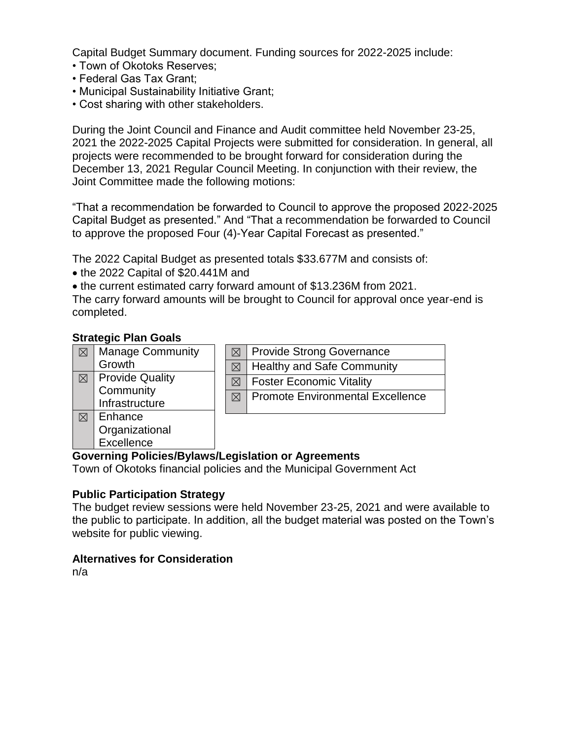Capital Budget Summary document. Funding sources for 2022-2025 include:

- Town of Okotoks Reserves;
- Federal Gas Tax Grant;
- Municipal Sustainability Initiative Grant;
- Cost sharing with other stakeholders.

During the Joint Council and Finance and Audit committee held November 23-25, 2021 the 2022-2025 Capital Projects were submitted for consideration. In general, all projects were recommended to be brought forward for consideration during the December 13, 2021 Regular Council Meeting. In conjunction with their review, the Joint Committee made the following motions:

"That a recommendation be forwarded to Council to approve the proposed 2022-2025 Capital Budget as presented." And "That a recommendation be forwarded to Council to approve the proposed Four (4)-Year Capital Forecast as presented."

The 2022 Capital Budget as presented totals \$33.677M and consists of:

- the 2022 Capital of \$20.441M and
- the current estimated carry forward amount of \$13.236M from 2021.

The carry forward amounts will be brought to Council for approval once year-end is completed.

### **Strategic Plan Goals**

| $\bowtie$ | <b>Manage Community</b> |
|-----------|-------------------------|
|           | Growth                  |
| ⋉         | <b>Provide Quality</b>  |
|           | Community               |
|           | Infrastructure          |
| $\bowtie$ | Enhance                 |
|           | Organizational          |

**Excellence** 

|             | $\boxtimes$   Provide Strong Governance  |
|-------------|------------------------------------------|
|             | $\boxtimes$   Healthy and Safe Community |
| $\boxtimes$ | Foster Economic Vitality                 |
| $\boxtimes$ | Promote Environmental Excellence         |
|             |                                          |

### **Governing Policies/Bylaws/Legislation or Agreements**

Town of Okotoks financial policies and the Municipal Government Act

### **Public Participation Strategy**

The budget review sessions were held November 23-25, 2021 and were available to the public to participate. In addition, all the budget material was posted on the Town's website for public viewing.

### **Alternatives for Consideration**

n/a